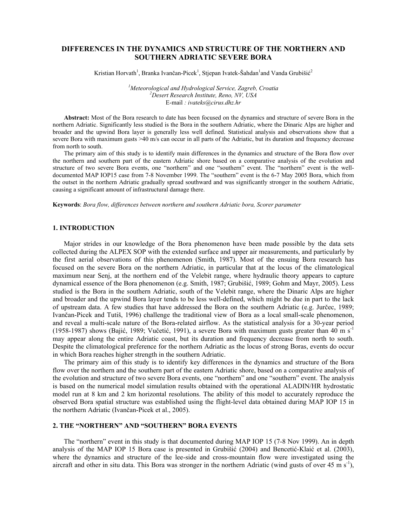# **DIFFERENCES IN THE DYNAMICS AND STRUCTURE OF THE NORTHERN AND SOUTHERN ADRIATIC SEVERE BORA**

Kristian Horvath<sup>1</sup>, Branka Ivančan-Picek<sup>1</sup>, Stjepan Ivatek-Šahdan<sup>1</sup>and Vanda Grubišić<sup>2</sup>

<sup>*1</sup>Meteorological and Hydrological Service, Zagreb, Croatia* <sup>2</sup>Desert *Pessangh Institute Pape*, *NV, USA*</sup> *Desert Research Institute, Reno, NV, USA*  E-mail *: ivateks@cirus.dhz.hr* 

**Abstract:** Most of the Bora research to date has been focused on the dynamics and structure of severe Bora in the northern Adriatic. Significantly less studied is the Bora in the southern Adriatic, where the Dinaric Alps are higher and broader and the upwind Bora layer is generally less well defined. Statistical analysis and observations show that a severe Bora with maximum gusts >40 m/s can occur in all parts of the Adriatic, but its duration and frequency decrease from north to south.

The primary aim of this study is to identify main differences in the dynamics and structure of the Bora flow over the northern and southern part of the eastern Adriatic shore based on a comparative analysis of the evolution and structure of two severe Bora events, one "northern" and one "southern" event. The "northern" event is the welldocumented MAP IOP15 case from 7-8 November 1999. The "southern" event is the 6-7 May 2005 Bora, which from the outset in the northern Adriatic gradually spread southward and was significantly stronger in the southern Adriatic, causing a significant amount of infrastructural damage there.

**Keywords**: *Bora flow, differences between northern and southern Adriatic bora, Scorer parameter* 

### **1. INTRODUCTION**

Major strides in our knowledge of the Bora phenomenon have been made possible by the data sets collected during the ALPEX SOP with the extended surface and upper air measurements, and particularly by the first aerial observations of this phenomenon (Smith, 1987). Most of the ensuing Bora research has focused on the severe Bora on the northern Adriatic, in particular that at the locus of the climatological maximum near Senj, at the northern end of the Velebit range, where hydraulic theory appears to capture dynamical essence of the Bora phenomenon (e.g. Smith, 1987; Grubišić, 1989; Gohm and Mayr, 2005). Less studied is the Bora in the southern Adriatic, south of the Velebit range, where the Dinaric Alps are higher and broader and the upwind Bora layer tends to be less well-defined, which might be due in part to the lack of upstream data. A few studies that have addressed the Bora on the southern Adriatic (e.g. Jurčec, 1989; Ivančan-Picek and Tutiš, 1996) challenge the traditional view of Bora as a local small-scale phenomenon, and reveal a multi-scale nature of the Bora-related airflow. As the statistical analysis for a 30-year period (1958-1987) shows (Bajić, 1989; Vučetić, 1991), a severe Bora with maximum gusts greater than 40 m s-1 may appear along the entire Adriatic coast, but its duration and frequency decrease from north to south. Despite the climatological preference for the northern Adriatic as the locus of strong Boras, events do occur in which Bora reaches higher strength in the southern Adriatic.

The primary aim of this study is to identify key differences in the dynamics and structure of the Bora flow over the northern and the southern part of the eastern Adriatic shore, based on a comparative analysis of the evolution and structure of two severe Bora events, one "northern" and one "southern" event. The analysis is based on the numerical model simulation results obtained with the operational ALADIN/HR hydrostatic model run at 8 km and 2 km horizontal resolutions. The ability of this model to accurately reproduce the observed Bora spatial structure was established using the flight-level data obtained during MAP IOP 15 in the northern Adriatic (Ivančan-Picek et al., 2005).

## **2. THE "NORTHERN" AND "SOUTHERN" BORA EVENTS**

The "northern" event in this study is that documented during MAP IOP 15 (7-8 Nov 1999). An in depth analysis of the MAP IOP 15 Bora case is presented in Grubišić (2004) and Bencetić-Klaić et al. (2003), where the dynamics and structure of the lee-side and cross-mountain flow were investigated using the aircraft and other in situ data. This Bora was stronger in the northern Adriatic (wind gusts of over 45 m s<sup>-1</sup>),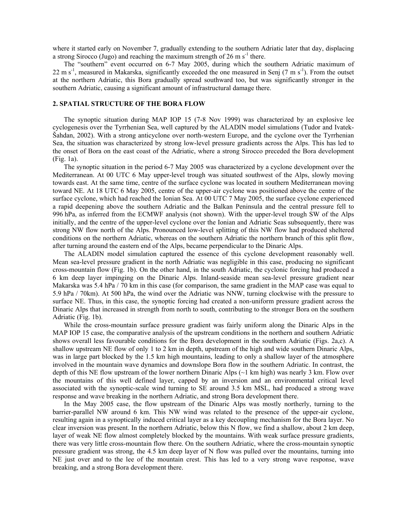where it started early on November 7, gradually extending to the southern Adriatic later that day, displacing a strong Sirocco (Jugo) and reaching the maximum strength of  $26 \text{ m s}^{-1}$  there.

The "southern" event occurred on 6-7 May 2005, during which the southern Adriatic maximum of 22 m s<sup>-1</sup>, measured in Makarska, significantly exceeded the one measured in Senj (7 m s<sup>-1</sup>). From the outset at the northern Adriatic, this Bora gradually spread southward too, but was significantly stronger in the southern Adriatic, causing a significant amount of infrastructural damage there.

## **2. SPATIAL STRUCTURE OF THE BORA FLOW**

The synoptic situation during MAP IOP 15 (7-8 Nov 1999) was characterized by an explosive lee cyclogenesis over the Tyrrhenian Sea, well captured by the ALADIN model simulations (Tudor and Ivatek-Šahdan, 2002). With a strong anticyclone over north-western Europe, and the cyclone over the Tyrrhenian Sea, the situation was characterized by strong low-level pressure gradients across the Alps. This has led to the onset of Bora on the east coast of the Adriatic, where a strong Sirocco preceded the Bora development (Fig. 1a).

The synoptic situation in the period 6-7 May 2005 was characterized by a cyclone development over the Mediterranean. At 00 UTC 6 May upper-level trough was situated southwest of the Alps, slowly moving towards east. At the same time, centre of the surface cyclone was located in southern Mediterranean moving toward NE. At 18 UTC 6 May 2005, centre of the upper-air cyclone was positioned above the centre of the surface cyclone, which had reached the Ionian Sea. At 00 UTC 7 May 2005, the surface cyclone experienced a rapid deepening above the southern Adriatic and the Balkan Peninsula and the central pressure fell to 996 hPa, as inferred from the ECMWF analysis (not shown). With the upper-level trough SW of the Alps initially, and the centre of the upper-level cyclone over the Ionian and Adriatic Seas subsequently, there was strong NW flow north of the Alps. Pronounced low-level splitting of this NW flow had produced sheltered conditions on the northern Adriatic, whereas on the southern Adriatic the northern branch of this split flow, after turning around the eastern end of the Alps, became perpendicular to the Dinaric Alps.

The ALADIN model simulation captured the essence of this cyclone development reasonably well. Mean sea-level pressure gradient in the north Adriatic was negligible in this case, producing no significant cross-mountain flow (Fig. 1b). On the other hand, in the south Adriatic, the cyclonic forcing had produced a 6 km deep layer impinging on the Dinaric Alps. Inland-seaside mean sea-level pressure gradient near Makarska was 5.4 hPa / 70 km in this case (for comparison, the same gradient in the MAP case was equal to 5.9 hPa / 70km). At 500 hPa, the wind over the Adriatic was NNW, turning clockwise with the pressure to surface NE. Thus, in this case, the synoptic forcing had created a non-uniform pressure gradient across the Dinaric Alps that increased in strength from north to south, contributing to the stronger Bora on the southern Adriatic (Fig. 1b).

While the cross-mountain surface pressure gradient was fairly uniform along the Dinaric Alps in the MAP IOP 15 case, the comparative analysis of the upstream conditions in the northern and southern Adriatic shows overall less favourable conditions for the Bora development in the southern Adriatic (Figs. 2a,c). A shallow upstream NE flow of only 1 to 2 km in depth, upstream of the high and wide southern Dinaric Alps, was in large part blocked by the 1.5 km high mountains, leading to only a shallow layer of the atmosphere involved in the mountain wave dynamics and downslope Bora flow in the southern Adriatic. In contrast, the depth of this NE flow upstream of the lower northern Dinaric Alps (~1 km high) was nearly 3 km. Flow over the mountains of this well defined layer, capped by an inversion and an environmental critical level associated with the synoptic-scale wind turning to SE around 3.5 km MSL, had produced a strong wave response and wave breaking in the northern Adriatic, and strong Bora development there.

In the May 2005 case, the flow upstream of the Dinaric Alps was mostly northerly, turning to the barrier-parallel NW around 6 km. This NW wind was related to the presence of the upper-air cyclone, resulting again in a synoptically induced critical layer as a key decoupling mechanism for the Bora layer. No clear inversion was present. In the northern Adriatic, below this N flow, we find a shallow, about 2 km deep, layer of weak NE flow almost completely blocked by the mountains. With weak surface pressure gradients, there was very little cross-mountain flow there. On the southern Adriatic, where the cross-mountain synoptic pressure gradient was strong, the 4.5 km deep layer of N flow was pulled over the mountains, turning into NE just over and to the lee of the mountain crest. This has led to a very strong wave response, wave breaking, and a strong Bora development there.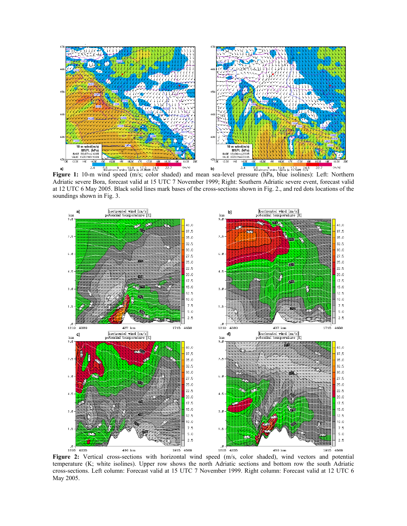

**Figure 1:** 10-m wind speed (m/s; color shaded) and mean sea-level pressure (hPa, blue isolines): Left: Northern Adriatic severe Bora, forecast valid at 15 UTC 7 November 1999; Right: Southern Adriatic severe event, forecast valid at 12 UTC 6 May 2005. Black solid lines mark bases of the cross-sections shown in Fig. 2., and red dots locations of the soundings shown in Fig. 3.



**Figure 2:** Vertical cross-sections with horizontal wind speed (m/s, color shaded), wind vectors and potential temperature (K; white isolines). Upper row shows the north Adriatic sections and bottom row the south Adriatic cross-sections. Left column: Forecast valid at 15 UTC 7 November 1999. Right column: Forecast valid at 12 UTC 6 May 2005.